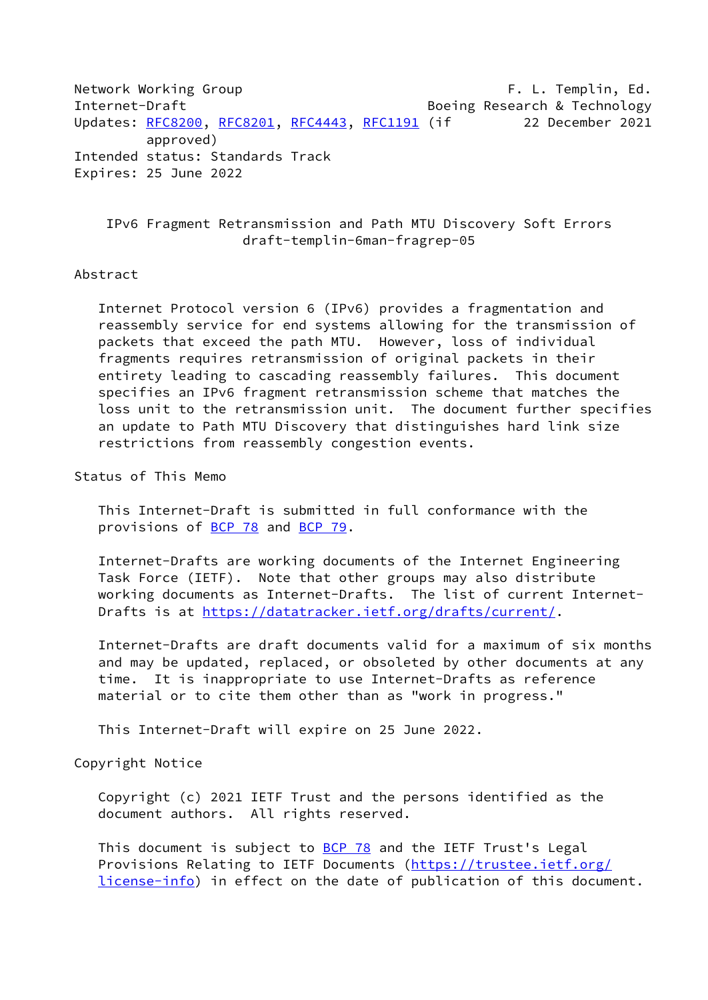Network Working Group **F. L. Templin, Ed.** Internet-Draft **Boeing Research & Technology** Updates: [RFC8200](https://datatracker.ietf.org/doc/pdf/rfc8200), [RFC8201](https://datatracker.ietf.org/doc/pdf/rfc8201), [RFC4443](https://datatracker.ietf.org/doc/pdf/rfc4443), [RFC1191](https://datatracker.ietf.org/doc/pdf/rfc1191) (if 22 December 2021 approved) Intended status: Standards Track Expires: 25 June 2022

 IPv6 Fragment Retransmission and Path MTU Discovery Soft Errors draft-templin-6man-fragrep-05

## Abstract

 Internet Protocol version 6 (IPv6) provides a fragmentation and reassembly service for end systems allowing for the transmission of packets that exceed the path MTU. However, loss of individual fragments requires retransmission of original packets in their entirety leading to cascading reassembly failures. This document specifies an IPv6 fragment retransmission scheme that matches the loss unit to the retransmission unit. The document further specifies an update to Path MTU Discovery that distinguishes hard link size restrictions from reassembly congestion events.

Status of This Memo

 This Internet-Draft is submitted in full conformance with the provisions of [BCP 78](https://datatracker.ietf.org/doc/pdf/bcp78) and [BCP 79](https://datatracker.ietf.org/doc/pdf/bcp79).

 Internet-Drafts are working documents of the Internet Engineering Task Force (IETF). Note that other groups may also distribute working documents as Internet-Drafts. The list of current Internet- Drafts is at<https://datatracker.ietf.org/drafts/current/>.

 Internet-Drafts are draft documents valid for a maximum of six months and may be updated, replaced, or obsoleted by other documents at any time. It is inappropriate to use Internet-Drafts as reference material or to cite them other than as "work in progress."

This Internet-Draft will expire on 25 June 2022.

Copyright Notice

 Copyright (c) 2021 IETF Trust and the persons identified as the document authors. All rights reserved.

This document is subject to **[BCP 78](https://datatracker.ietf.org/doc/pdf/bcp78)** and the IETF Trust's Legal Provisions Relating to IETF Documents ([https://trustee.ietf.org/](https://trustee.ietf.org/license-info) [license-info](https://trustee.ietf.org/license-info)) in effect on the date of publication of this document.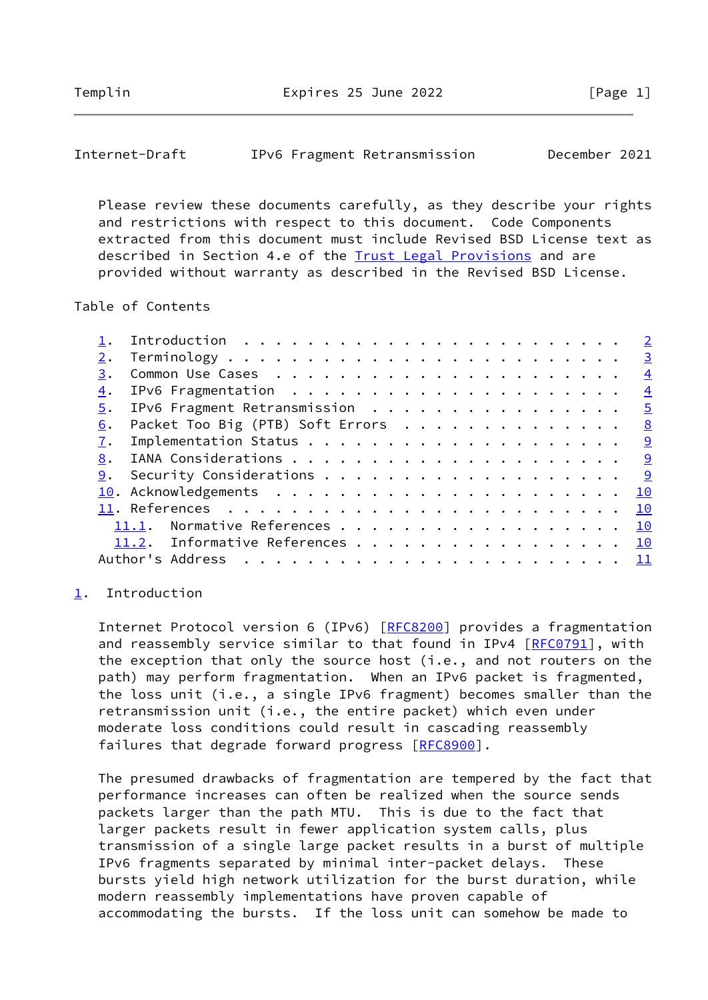<span id="page-1-1"></span>

| Internet-Draft |  | IPv6 Fragment Retransmission | December 2021 |  |
|----------------|--|------------------------------|---------------|--|
|----------------|--|------------------------------|---------------|--|

 Please review these documents carefully, as they describe your rights and restrictions with respect to this document. Code Components extracted from this document must include Revised BSD License text as described in Section 4.e of the [Trust Legal Provisions](https://trustee.ietf.org/license-info) and are provided without warranty as described in the Revised BSD License.

# Table of Contents

|                                  | $\overline{2}$ |
|----------------------------------|----------------|
|                                  | $\overline{3}$ |
|                                  | $\overline{4}$ |
|                                  | $\overline{4}$ |
| IPv6 Fragment Retransmission     | $\overline{5}$ |
| Packet Too Big (PTB) Soft Errors | 8              |
|                                  |                |
|                                  |                |
|                                  | <u>୍ର</u>      |
|                                  | 10             |
|                                  | 10             |
| 11.1. Normative References       | 10             |
| 11.2. Informative References     | 10             |
|                                  |                |
|                                  |                |

#### <span id="page-1-0"></span>[1](#page-1-0). Introduction

 Internet Protocol version 6 (IPv6) [[RFC8200\]](https://datatracker.ietf.org/doc/pdf/rfc8200) provides a fragmentation and reassembly service similar to that found in IPv4 [\[RFC0791](https://datatracker.ietf.org/doc/pdf/rfc0791)], with the exception that only the source host (i.e., and not routers on the path) may perform fragmentation. When an IPv6 packet is fragmented, the loss unit (i.e., a single IPv6 fragment) becomes smaller than the retransmission unit (i.e., the entire packet) which even under moderate loss conditions could result in cascading reassembly failures that degrade forward progress [\[RFC8900](https://datatracker.ietf.org/doc/pdf/rfc8900)].

 The presumed drawbacks of fragmentation are tempered by the fact that performance increases can often be realized when the source sends packets larger than the path MTU. This is due to the fact that larger packets result in fewer application system calls, plus transmission of a single large packet results in a burst of multiple IPv6 fragments separated by minimal inter-packet delays. These bursts yield high network utilization for the burst duration, while modern reassembly implementations have proven capable of accommodating the bursts. If the loss unit can somehow be made to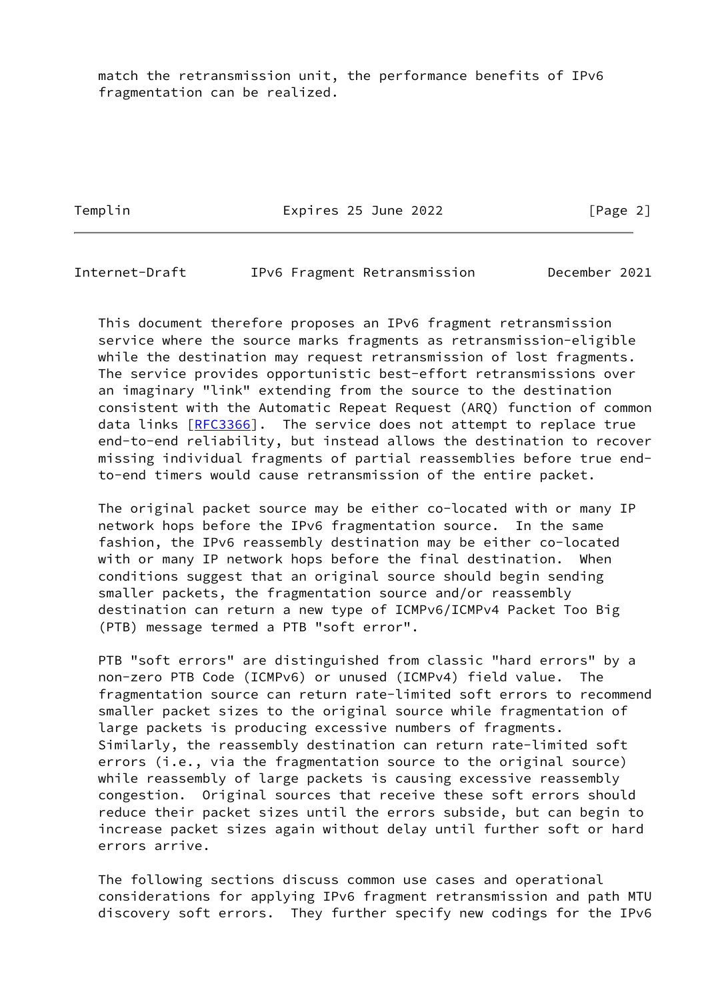match the retransmission unit, the performance benefits of IPv6 fragmentation can be realized.

Templin **Expires 25 June 2022** [Page 2]

<span id="page-2-0"></span>Internet-Draft IPv6 Fragment Retransmission December 2021

 This document therefore proposes an IPv6 fragment retransmission service where the source marks fragments as retransmission-eligible while the destination may request retransmission of lost fragments. The service provides opportunistic best-effort retransmissions over an imaginary "link" extending from the source to the destination consistent with the Automatic Repeat Request (ARQ) function of common data links [[RFC3366\]](https://datatracker.ietf.org/doc/pdf/rfc3366). The service does not attempt to replace true end-to-end reliability, but instead allows the destination to recover missing individual fragments of partial reassemblies before true end to-end timers would cause retransmission of the entire packet.

 The original packet source may be either co-located with or many IP network hops before the IPv6 fragmentation source. In the same fashion, the IPv6 reassembly destination may be either co-located with or many IP network hops before the final destination. When conditions suggest that an original source should begin sending smaller packets, the fragmentation source and/or reassembly destination can return a new type of ICMPv6/ICMPv4 Packet Too Big (PTB) message termed a PTB "soft error".

 PTB "soft errors" are distinguished from classic "hard errors" by a non-zero PTB Code (ICMPv6) or unused (ICMPv4) field value. The fragmentation source can return rate-limited soft errors to recommend smaller packet sizes to the original source while fragmentation of large packets is producing excessive numbers of fragments. Similarly, the reassembly destination can return rate-limited soft errors (i.e., via the fragmentation source to the original source) while reassembly of large packets is causing excessive reassembly congestion. Original sources that receive these soft errors should reduce their packet sizes until the errors subside, but can begin to increase packet sizes again without delay until further soft or hard errors arrive.

 The following sections discuss common use cases and operational considerations for applying IPv6 fragment retransmission and path MTU discovery soft errors. They further specify new codings for the IPv6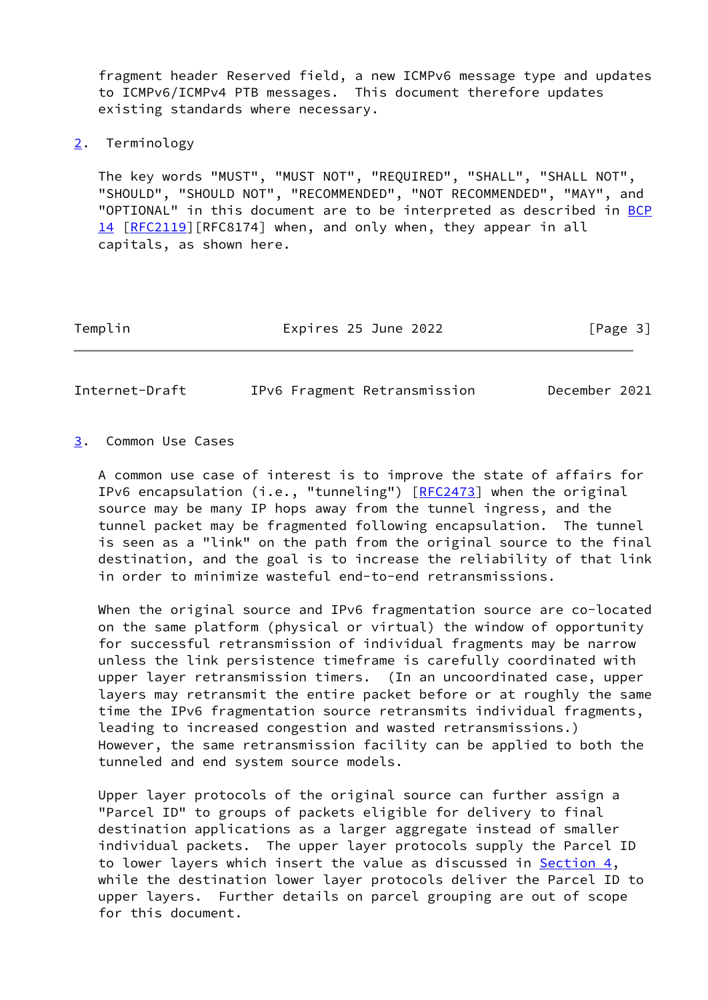fragment header Reserved field, a new ICMPv6 message type and updates to ICMPv6/ICMPv4 PTB messages. This document therefore updates existing standards where necessary.

# <span id="page-3-0"></span>[2](#page-3-0). Terminology

 The key words "MUST", "MUST NOT", "REQUIRED", "SHALL", "SHALL NOT", "SHOULD", "SHOULD NOT", "RECOMMENDED", "NOT RECOMMENDED", "MAY", and "OPTIONAL" in this document are to be interpreted as described in [BCP](https://datatracker.ietf.org/doc/pdf/bcp14) [14](https://datatracker.ietf.org/doc/pdf/bcp14) [[RFC2119\]](https://datatracker.ietf.org/doc/pdf/rfc2119)[RFC8174] when, and only when, they appear in all capitals, as shown here.

Templin Expires 25 June 2022 [Page 3]

<span id="page-3-2"></span>Internet-Draft IPv6 Fragment Retransmission December 2021

# <span id="page-3-1"></span>[3](#page-3-1). Common Use Cases

 A common use case of interest is to improve the state of affairs for IPv6 encapsulation (i.e., "tunneling") [\[RFC2473](https://datatracker.ietf.org/doc/pdf/rfc2473)] when the original source may be many IP hops away from the tunnel ingress, and the tunnel packet may be fragmented following encapsulation. The tunnel is seen as a "link" on the path from the original source to the final destination, and the goal is to increase the reliability of that link in order to minimize wasteful end-to-end retransmissions.

 When the original source and IPv6 fragmentation source are co-located on the same platform (physical or virtual) the window of opportunity for successful retransmission of individual fragments may be narrow unless the link persistence timeframe is carefully coordinated with upper layer retransmission timers. (In an uncoordinated case, upper layers may retransmit the entire packet before or at roughly the same time the IPv6 fragmentation source retransmits individual fragments, leading to increased congestion and wasted retransmissions.) However, the same retransmission facility can be applied to both the tunneled and end system source models.

 Upper layer protocols of the original source can further assign a "Parcel ID" to groups of packets eligible for delivery to final destination applications as a larger aggregate instead of smaller individual packets. The upper layer protocols supply the Parcel ID to lower layers which insert the value as discussed in [Section 4,](#page-4-0) while the destination lower layer protocols deliver the Parcel ID to upper layers. Further details on parcel grouping are out of scope for this document.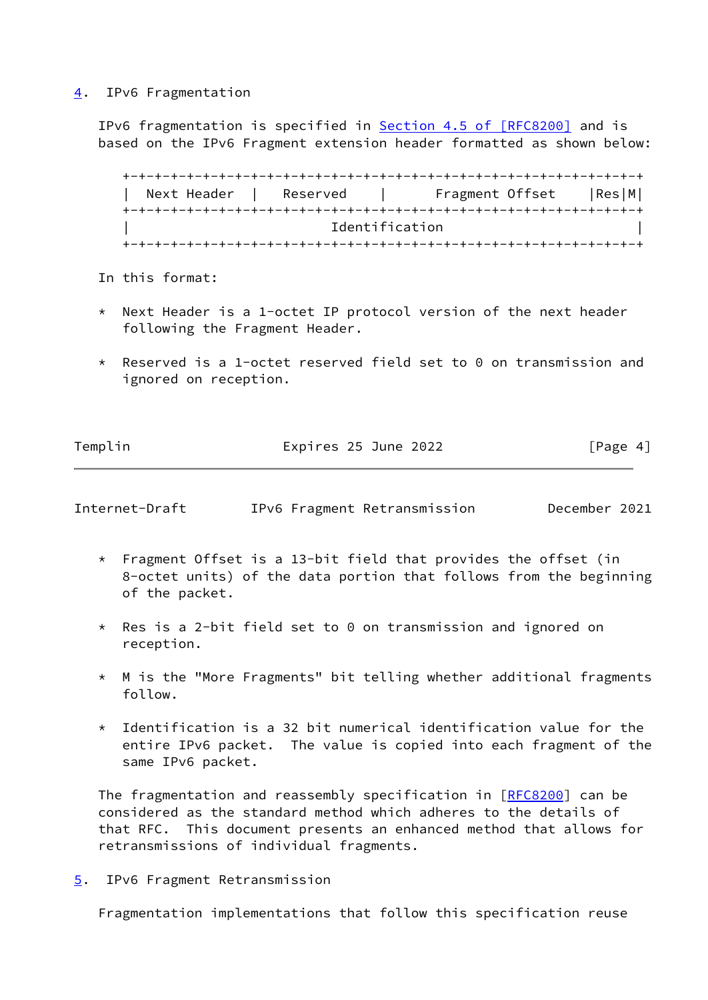# <span id="page-4-0"></span>[4](#page-4-0). IPv6 Fragmentation

IPv6 fragmentation is specified in **Section 4.5 of [RFC8200]** and is based on the IPv6 Fragment extension header formatted as shown below:

 +-+-+-+-+-+-+-+-+-+-+-+-+-+-+-+-+-+-+-+-+-+-+-+-+-+-+-+-+-+-+-+-+ Next Header | Reserved | Fragment Offset | Res|M| +-+-+-+-+-+-+-+-+-+-+-+-+-+-+-+-+-+-+-+-+-+-+-+-+-+-+-+-+-+-+-+-+ Identification +-+-+-+-+-+-+-+-+-+-+-+-+-+-+-+-+-+-+-+-+-+-+-+-+-+-+-+-+-+-+-+-+

- In this format:
- Next Header is a 1-octet IP protocol version of the next header following the Fragment Header.
- \* Reserved is a 1-octet reserved field set to 0 on transmission and ignored on reception.

| Templin | Expires 25 June 2022 | [Page 4] |
|---------|----------------------|----------|
|         |                      |          |

<span id="page-4-2"></span>

|  | Internet-Draft |  | IPv6 Fragment Retransmission | December 2021 |  |
|--|----------------|--|------------------------------|---------------|--|
|--|----------------|--|------------------------------|---------------|--|

- \* Fragment Offset is a 13-bit field that provides the offset (in 8-octet units) of the data portion that follows from the beginning of the packet.
- \* Res is a 2-bit field set to 0 on transmission and ignored on reception.
- $*$  M is the "More Fragments" bit telling whether additional fragments follow.
- $*$  Identification is a 32 bit numerical identification value for the entire IPv6 packet. The value is copied into each fragment of the same IPv6 packet.

The fragmentation and reassembly specification in [[RFC8200](https://datatracker.ietf.org/doc/pdf/rfc8200)] can be considered as the standard method which adheres to the details of that RFC. This document presents an enhanced method that allows for retransmissions of individual fragments.

<span id="page-4-1"></span>[5](#page-4-1). IPv6 Fragment Retransmission

Fragmentation implementations that follow this specification reuse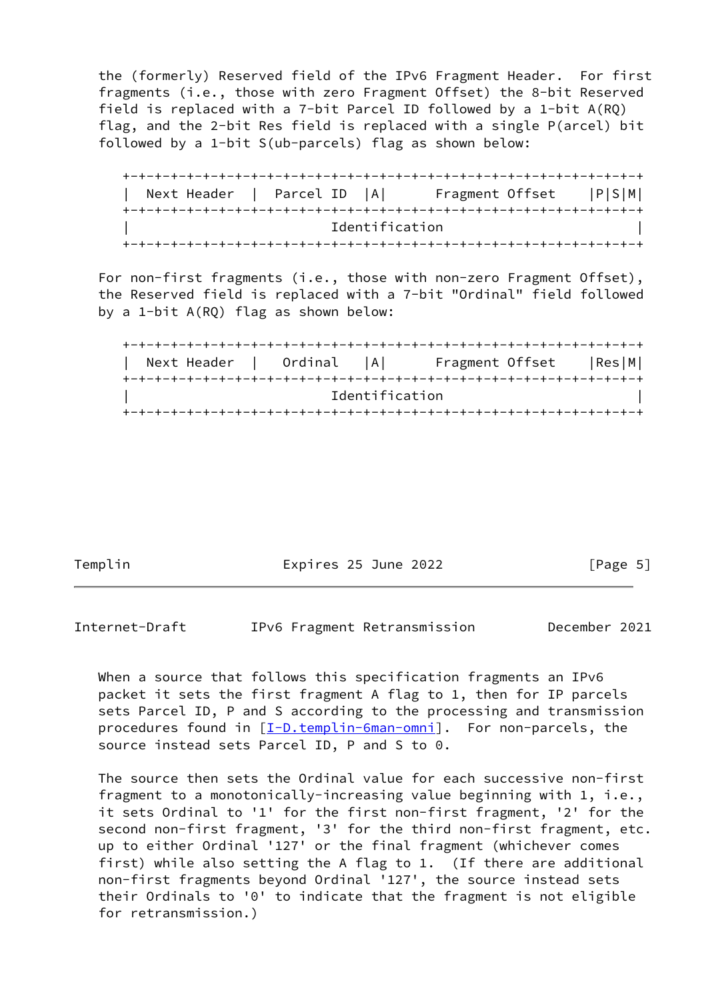the (formerly) Reserved field of the IPv6 Fragment Header. For first fragments (i.e., those with zero Fragment Offset) the 8-bit Reserved field is replaced with a 7-bit Parcel ID followed by a 1-bit A(RQ) flag, and the 2-bit Res field is replaced with a single P(arcel) bit followed by a 1-bit S(ub-parcels) flag as shown below:

 +-+-+-+-+-+-+-+-+-+-+-+-+-+-+-+-+-+-+-+-+-+-+-+-+-+-+-+-+-+-+-+-+ | Next Header | Parcel ID |A| Fragment Offset |P|S|M| +-+-+-+-+-+-+-+-+-+-+-+-+-+-+-+-+-+-+-+-+-+-+-+-+-+-+-+-+-+-+-+-+ Identification +-+-+-+-+-+-+-+-+-+-+-+-+-+-+-+-+-+-+-+-+-+-+-+-+-+-+-+-+-+-+-+-+

 For non-first fragments (i.e., those with non-zero Fragment Offset), the Reserved field is replaced with a 7-bit "Ordinal" field followed by a 1-bit A(RQ) flag as shown below:

 +-+-+-+-+-+-+-+-+-+-+-+-+-+-+-+-+-+-+-+-+-+-+-+-+-+-+-+-+-+-+-+-+ Next Header | Ordinal |A| Fragment Offset |Res|M| +-+-+-+-+-+-+-+-+-+-+-+-+-+-+-+-+-+-+-+-+-+-+-+-+-+-+-+-+-+-+-+-+ | Identification | +-+-+-+-+-+-+-+-+-+-+-+-+-+-+-+-+-+-+-+-+-+-+-+-+-+-+-+-+-+-+-+-+

Templin **Expires 25 June 2022** [Page 5]

Internet-Draft IPv6 Fragment Retransmission December 2021

When a source that follows this specification fragments an IPv6 packet it sets the first fragment A flag to 1, then for IP parcels sets Parcel ID, P and S according to the processing and transmission procedures found in [\[I-D.templin-6man-omni](#page-11-2)]. For non-parcels, the source instead sets Parcel ID, P and S to 0.

 The source then sets the Ordinal value for each successive non-first fragment to a monotonically-increasing value beginning with 1, i.e., it sets Ordinal to '1' for the first non-first fragment, '2' for the second non-first fragment, '3' for the third non-first fragment, etc. up to either Ordinal '127' or the final fragment (whichever comes first) while also setting the A flag to 1. (If there are additional non-first fragments beyond Ordinal '127', the source instead sets their Ordinals to '0' to indicate that the fragment is not eligible for retransmission.)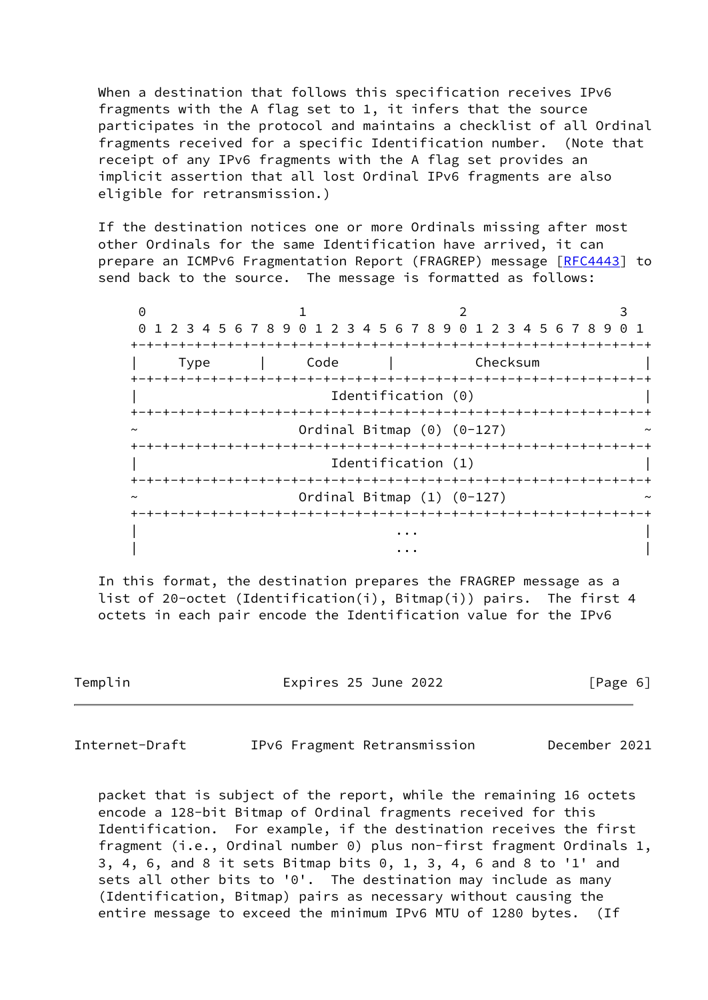When a destination that follows this specification receives IPv6 fragments with the A flag set to 1, it infers that the source participates in the protocol and maintains a checklist of all Ordinal fragments received for a specific Identification number. (Note that receipt of any IPv6 fragments with the A flag set provides an implicit assertion that all lost Ordinal IPv6 fragments are also eligible for retransmission.)

 If the destination notices one or more Ordinals missing after most other Ordinals for the same Identification have arrived, it can prepare an ICMPv6 Fragmentation Report (FRAGREP) message [\[RFC4443](https://datatracker.ietf.org/doc/pdf/rfc4443)] to send back to the source. The message is formatted as follows:

 $0$  1 2 3 0 1 2 3 4 5 6 7 8 9 0 1 2 3 4 5 6 7 8 9 0 1 2 3 4 5 6 7 8 9 0 1 +-+-+-+-+-+-+-+-+-+-+-+-+-+-+-+-+-+-+-+-+-+-+-+-+-+-+-+-+-+-+-+-+ | Type | Code | Checksum | +-+-+-+-+-+-+-+-+-+-+-+-+-+-+-+-+-+-+-+-+-+-+-+-+-+-+-+-+-+-+-+-+ | Identification (0) | +-+-+-+-+-+-+-+-+-+-+-+-+-+-+-+-+-+-+-+-+-+-+-+-+-+-+-+-+-+-+-+-+ Ordinal Bitmap  $(0)$   $(0-127)$  +-+-+-+-+-+-+-+-+-+-+-+-+-+-+-+-+-+-+-+-+-+-+-+-+-+-+-+-+-+-+-+-+ Identification (1) +-+-+-+-+-+-+-+-+-+-+-+-+-+-+-+-+-+-+-+-+-+-+-+-+-+-+-+-+-+-+-+-+ Ordinal Bitmap  $(1)$   $(0-127)$  +-+-+-+-+-+-+-+-+-+-+-+-+-+-+-+-+-+-+-+-+-+-+-+-+-+-+-+-+-+-+-+-+ | ... | ... | ... | ... | ... | ... | ... | ... | ... | ... | ... | ... | ... | ... | ... | ... | ... | ... | . | ... | ... | ... | ... | ... | ... | ... | ... | ... | ... | ... | ... | ... | ... | ... | ... | ... | ... | .<br>| ... | ... | ... | ... | ... | ... | ... | ... | ... | ... | ... | ... | ... | ... | ... | ... | ... | ... |

 In this format, the destination prepares the FRAGREP message as a list of 20-octet (Identification(i), Bitmap(i)) pairs. The first 4 octets in each pair encode the Identification value for the IPv6

Templin Expires 25 June 2022 [Page 6]

Internet-Draft IPv6 Fragment Retransmission December 2021

 packet that is subject of the report, while the remaining 16 octets encode a 128-bit Bitmap of Ordinal fragments received for this Identification. For example, if the destination receives the first fragment (i.e., Ordinal number 0) plus non-first fragment Ordinals 1, 3, 4, 6, and 8 it sets Bitmap bits 0, 1, 3, 4, 6 and 8 to '1' and sets all other bits to '0'. The destination may include as many (Identification, Bitmap) pairs as necessary without causing the entire message to exceed the minimum IPv6 MTU of 1280 bytes. (If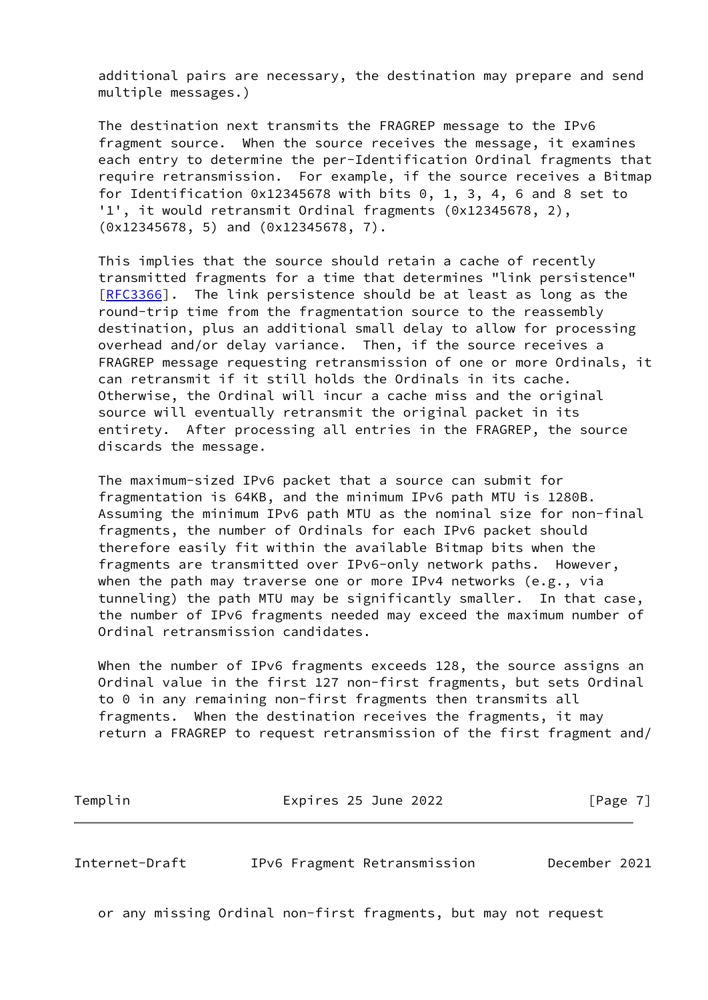additional pairs are necessary, the destination may prepare and send multiple messages.)

 The destination next transmits the FRAGREP message to the IPv6 fragment source. When the source receives the message, it examines each entry to determine the per-Identification Ordinal fragments that require retransmission. For example, if the source receives a Bitmap for Identification  $0x12345678$  with bits  $0, 1, 3, 4, 6$  and 8 set to '1', it would retransmit Ordinal fragments (0x12345678, 2), (0x12345678, 5) and (0x12345678, 7).

 This implies that the source should retain a cache of recently transmitted fragments for a time that determines "link persistence" [\[RFC3366](https://datatracker.ietf.org/doc/pdf/rfc3366)]. The link persistence should be at least as long as the round-trip time from the fragmentation source to the reassembly destination, plus an additional small delay to allow for processing overhead and/or delay variance. Then, if the source receives a FRAGREP message requesting retransmission of one or more Ordinals, it can retransmit if it still holds the Ordinals in its cache. Otherwise, the Ordinal will incur a cache miss and the original source will eventually retransmit the original packet in its entirety. After processing all entries in the FRAGREP, the source discards the message.

 The maximum-sized IPv6 packet that a source can submit for fragmentation is 64KB, and the minimum IPv6 path MTU is 1280B. Assuming the minimum IPv6 path MTU as the nominal size for non-final fragments, the number of Ordinals for each IPv6 packet should therefore easily fit within the available Bitmap bits when the fragments are transmitted over IPv6-only network paths. However, when the path may traverse one or more IPv4 networks (e.g., via tunneling) the path MTU may be significantly smaller. In that case, the number of IPv6 fragments needed may exceed the maximum number of Ordinal retransmission candidates.

When the number of IPv6 fragments exceeds 128, the source assigns an Ordinal value in the first 127 non-first fragments, but sets Ordinal to 0 in any remaining non-first fragments then transmits all fragments. When the destination receives the fragments, it may return a FRAGREP to request retransmission of the first fragment and/

Templin **Expires 25 June 2022** [Page 7]

<span id="page-7-0"></span>Internet-Draft IPv6 Fragment Retransmission December 2021

or any missing Ordinal non-first fragments, but may not request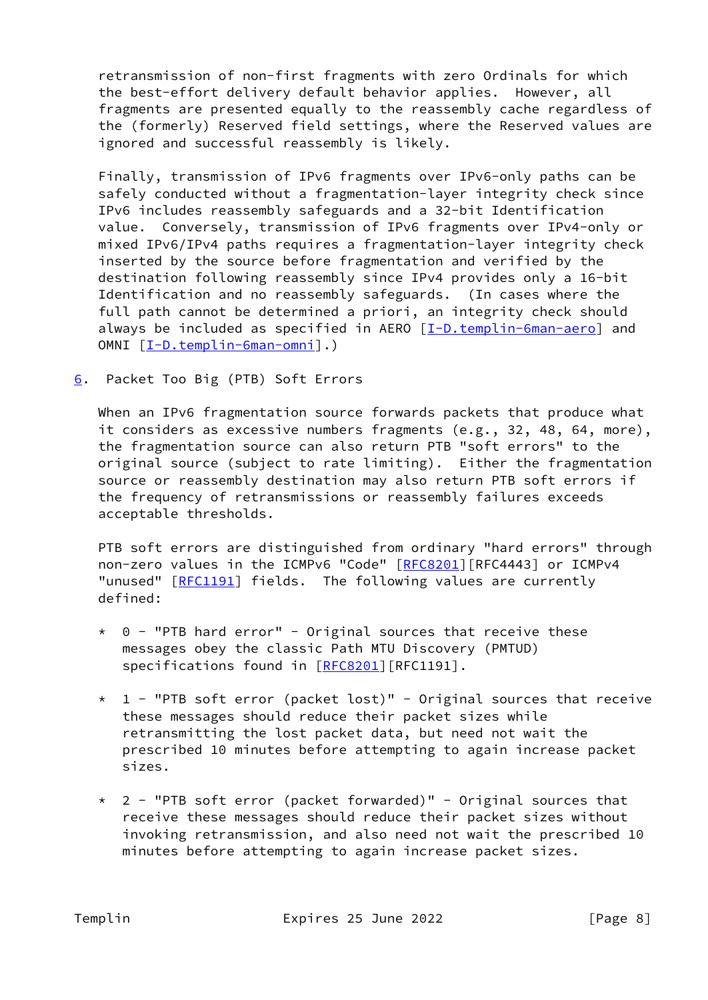retransmission of non-first fragments with zero Ordinals for which the best-effort delivery default behavior applies. However, all fragments are presented equally to the reassembly cache regardless of the (formerly) Reserved field settings, where the Reserved values are ignored and successful reassembly is likely.

 Finally, transmission of IPv6 fragments over IPv6-only paths can be safely conducted without a fragmentation-layer integrity check since IPv6 includes reassembly safeguards and a 32-bit Identification value. Conversely, transmission of IPv6 fragments over IPv4-only or mixed IPv6/IPv4 paths requires a fragmentation-layer integrity check inserted by the source before fragmentation and verified by the destination following reassembly since IPv4 provides only a 16-bit Identification and no reassembly safeguards. (In cases where the full path cannot be determined a priori, an integrity check should always be included as specified in AERO [\[I-D.templin-6man-aero](#page-11-3)] and OMNI [\[I-D.templin-6man-omni\]](#page-11-2).)

<span id="page-8-0"></span>[6](#page-8-0). Packet Too Big (PTB) Soft Errors

When an IPv6 fragmentation source forwards packets that produce what it considers as excessive numbers fragments (e.g., 32, 48, 64, more), the fragmentation source can also return PTB "soft errors" to the original source (subject to rate limiting). Either the fragmentation source or reassembly destination may also return PTB soft errors if the frequency of retransmissions or reassembly failures exceeds acceptable thresholds.

 PTB soft errors are distinguished from ordinary "hard errors" through non-zero values in the ICMPv6 "Code" [\[RFC8201](https://datatracker.ietf.org/doc/pdf/rfc8201)] [RFC4443] or ICMPv4 "unused" [\[RFC1191](https://datatracker.ietf.org/doc/pdf/rfc1191)] fields. The following values are currently defined:

- $*$  0 "PTB hard error" Original sources that receive these messages obey the classic Path MTU Discovery (PMTUD) specifications found in [[RFC8201\]](https://datatracker.ietf.org/doc/pdf/rfc8201)[RFC1191].
- $*$  1 "PTB soft error (packet lost)" Original sources that receive these messages should reduce their packet sizes while retransmitting the lost packet data, but need not wait the prescribed 10 minutes before attempting to again increase packet sizes.
- $*$  2 "PTB soft error (packet forwarded)" Original sources that receive these messages should reduce their packet sizes without invoking retransmission, and also need not wait the prescribed 10 minutes before attempting to again increase packet sizes.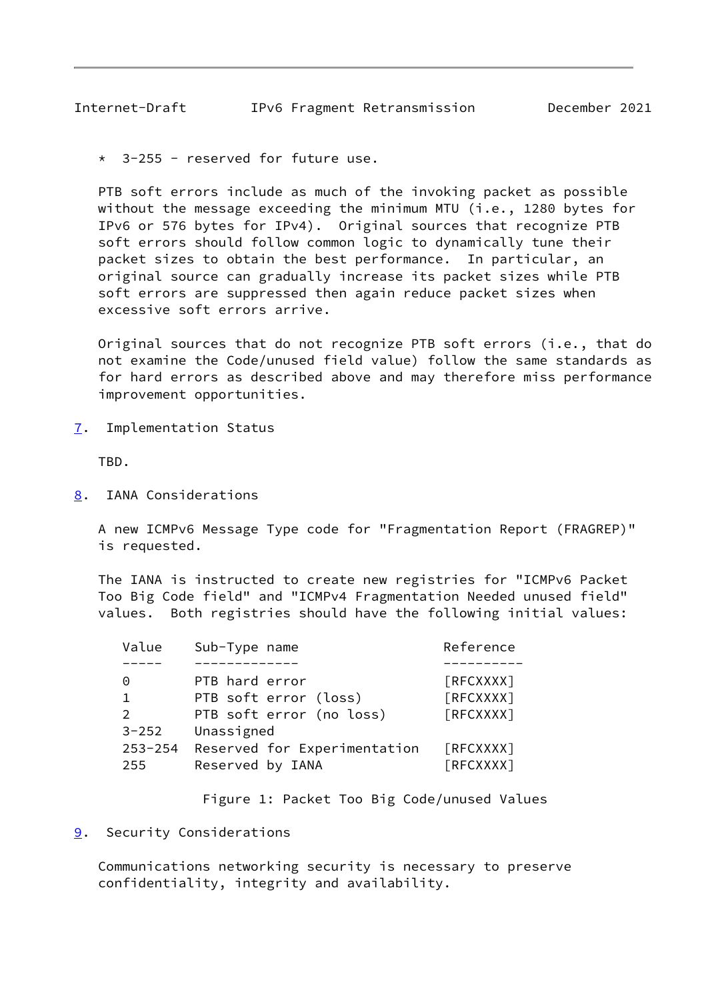<span id="page-9-1"></span> $3-255$  - reserved for future use.

 PTB soft errors include as much of the invoking packet as possible without the message exceeding the minimum MTU (i.e., 1280 bytes for IPv6 or 576 bytes for IPv4). Original sources that recognize PTB soft errors should follow common logic to dynamically tune their packet sizes to obtain the best performance. In particular, an original source can gradually increase its packet sizes while PTB soft errors are suppressed then again reduce packet sizes when excessive soft errors arrive.

 Original sources that do not recognize PTB soft errors (i.e., that do not examine the Code/unused field value) follow the same standards as for hard errors as described above and may therefore miss performance improvement opportunities.

<span id="page-9-0"></span>[7](#page-9-0). Implementation Status

TBD.

<span id="page-9-2"></span>[8](#page-9-2). IANA Considerations

 A new ICMPv6 Message Type code for "Fragmentation Report (FRAGREP)" is requested.

 The IANA is instructed to create new registries for "ICMPv6 Packet Too Big Code field" and "ICMPv4 Fragmentation Needed unused field" values. Both registries should have the following initial values:

| Value              | Sub-Type name                                    | Reference              |
|--------------------|--------------------------------------------------|------------------------|
|                    |                                                  |                        |
| 0                  | PTB hard error                                   | [RFCXXXX]              |
| $\mathbf 1$        | PTB soft error (loss)                            | [RFCXXXX]              |
| 2                  | PTB soft error (no loss)                         | [RFCXXXX]              |
| $3 - 252$          | Unassigned                                       |                        |
| $253 - 254$<br>255 | Reserved for Experimentation<br>Reserved by IANA | [RFCXXXX]<br>[RFCXXXX] |
|                    |                                                  |                        |

Figure 1: Packet Too Big Code/unused Values

<span id="page-9-3"></span>[9](#page-9-3). Security Considerations

 Communications networking security is necessary to preserve confidentiality, integrity and availability.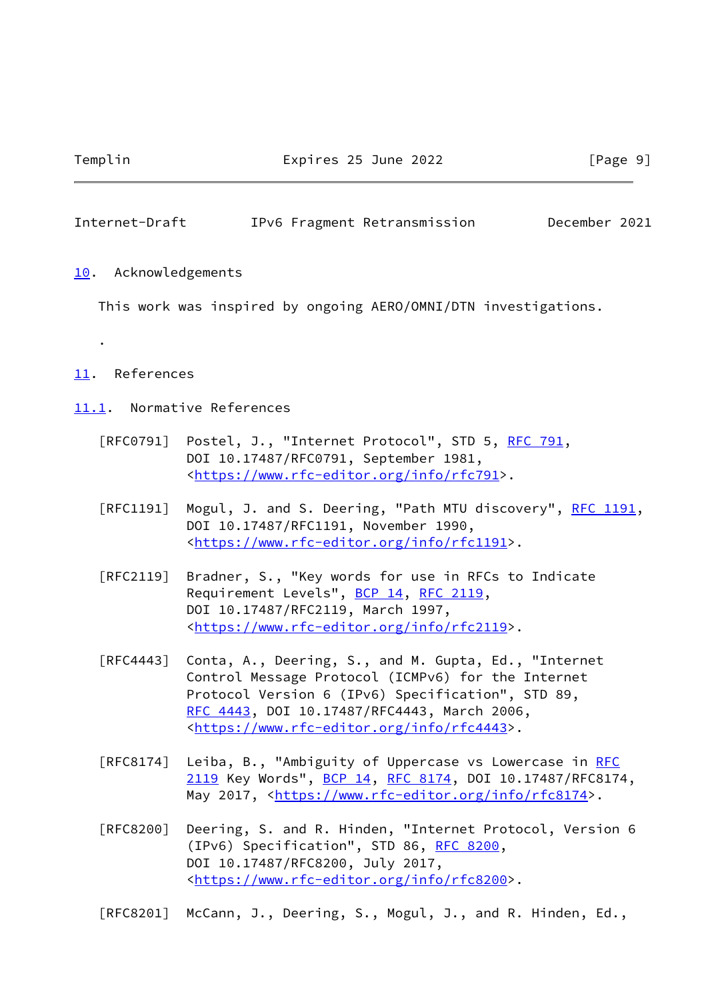.

#### <span id="page-10-1"></span>Internet-Draft IPv6 Fragment Retransmission December 2021

#### <span id="page-10-0"></span>[10.](#page-10-0) Acknowledgements

This work was inspired by ongoing AERO/OMNI/DTN investigations.

#### <span id="page-10-2"></span>[11.](#page-10-2) References

<span id="page-10-3"></span>[11.1](#page-10-3). Normative References

- [RFC0791] Postel, J., "Internet Protocol", STD 5, [RFC 791](https://datatracker.ietf.org/doc/pdf/rfc791), DOI 10.17487/RFC0791, September 1981, <<https://www.rfc-editor.org/info/rfc791>>.
- [RFC1191] Mogul, J. and S. Deering, "Path MTU discovery", [RFC 1191,](https://datatracker.ietf.org/doc/pdf/rfc1191) DOI 10.17487/RFC1191, November 1990, <[https://www.rfc-editor.org/info/rfc1191>](https://www.rfc-editor.org/info/rfc1191).
- [RFC2119] Bradner, S., "Key words for use in RFCs to Indicate Requirement Levels", [BCP 14](https://datatracker.ietf.org/doc/pdf/bcp14), [RFC 2119](https://datatracker.ietf.org/doc/pdf/rfc2119), DOI 10.17487/RFC2119, March 1997, <[https://www.rfc-editor.org/info/rfc2119>](https://www.rfc-editor.org/info/rfc2119).
- [RFC4443] Conta, A., Deering, S., and M. Gupta, Ed., "Internet Control Message Protocol (ICMPv6) for the Internet Protocol Version 6 (IPv6) Specification", STD 89, [RFC 4443,](https://datatracker.ietf.org/doc/pdf/rfc4443) DOI 10.17487/RFC4443, March 2006, <[https://www.rfc-editor.org/info/rfc4443>](https://www.rfc-editor.org/info/rfc4443).
- [RFC8174] Leiba, B., "Ambiguity of Uppercase vs Lowercase in [RFC](https://datatracker.ietf.org/doc/pdf/rfc2119) [2119](https://datatracker.ietf.org/doc/pdf/rfc2119) Key Words", [BCP 14](https://datatracker.ietf.org/doc/pdf/bcp14), [RFC 8174,](https://datatracker.ietf.org/doc/pdf/rfc8174) DOI 10.17487/RFC8174, May 2017, [<https://www.rfc-editor.org/info/rfc8174](https://www.rfc-editor.org/info/rfc8174)>.
- [RFC8200] Deering, S. and R. Hinden, "Internet Protocol, Version 6 (IPv6) Specification", STD 86, [RFC 8200](https://datatracker.ietf.org/doc/pdf/rfc8200), DOI 10.17487/RFC8200, July 2017, <[https://www.rfc-editor.org/info/rfc8200>](https://www.rfc-editor.org/info/rfc8200).

[RFC8201] McCann, J., Deering, S., Mogul, J., and R. Hinden, Ed.,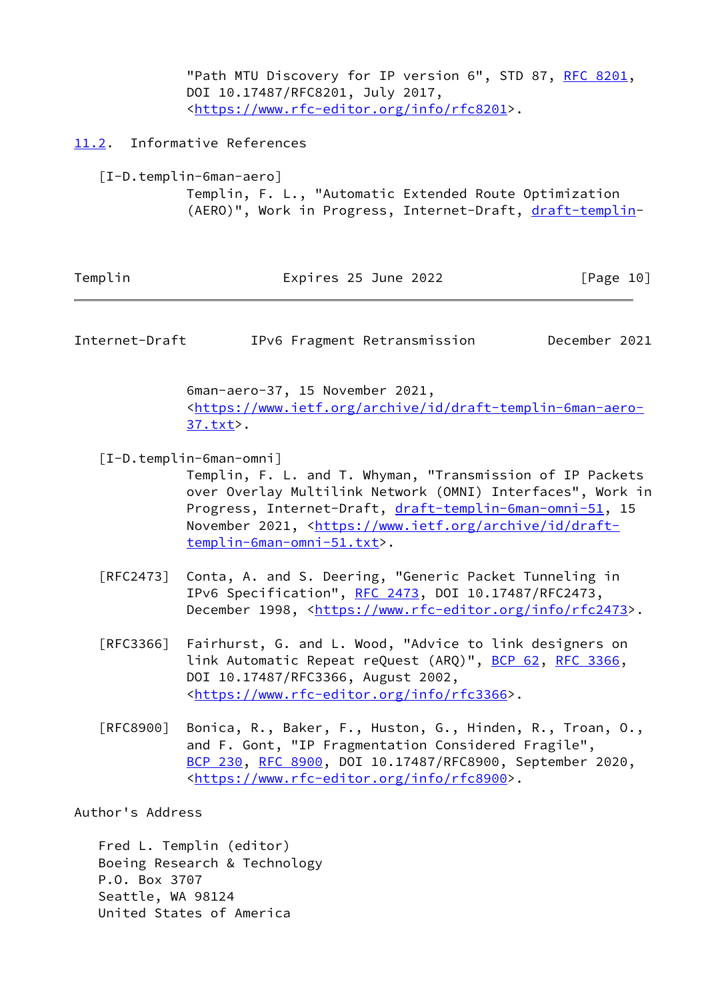"Path MTU Discovery for IP version 6", STD 87, [RFC 8201](https://datatracker.ietf.org/doc/pdf/rfc8201), DOI 10.17487/RFC8201, July 2017, <[https://www.rfc-editor.org/info/rfc8201>](https://www.rfc-editor.org/info/rfc8201).

### <span id="page-11-0"></span>[11.2](#page-11-0). Informative References

<span id="page-11-3"></span> [I-D.templin-6man-aero] Templin, F. L., "Automatic Extended Route Optimization (AERO)", Work in Progress, Internet-Draft, [draft-templin-](https://datatracker.ietf.org/doc/pdf/draft-templin)

| Templin | Expires 25 June 2022 | [Page 10] |
|---------|----------------------|-----------|
|---------|----------------------|-----------|

<span id="page-11-1"></span>Internet-Draft IPv6 Fragment Retransmission December 2021

 6man-aero-37, 15 November 2021, <[https://www.ietf.org/archive/id/draft-templin-6man-aero-](https://www.ietf.org/archive/id/draft-templin-6man-aero-37.txt) [37.txt](https://www.ietf.org/archive/id/draft-templin-6man-aero-37.txt)>.

<span id="page-11-2"></span>[I-D.templin-6man-omni]

 Templin, F. L. and T. Whyman, "Transmission of IP Packets over Overlay Multilink Network (OMNI) Interfaces", Work in Progress, Internet-Draft, [draft-templin-6man-omni-51,](https://datatracker.ietf.org/doc/pdf/draft-templin-6man-omni-51) 15 November 2021, <[https://www.ietf.org/archive/id/draft](https://www.ietf.org/archive/id/draft-templin-6man-omni-51.txt) [templin-6man-omni-51.txt>](https://www.ietf.org/archive/id/draft-templin-6man-omni-51.txt).

- [RFC2473] Conta, A. and S. Deering, "Generic Packet Tunneling in IPv6 Specification", [RFC 2473](https://datatracker.ietf.org/doc/pdf/rfc2473), DOI 10.17487/RFC2473, December 1998, <<https://www.rfc-editor.org/info/rfc2473>>.
- [RFC3366] Fairhurst, G. and L. Wood, "Advice to link designers on link Automatic Repeat reQuest (ARQ)", [BCP 62](https://datatracker.ietf.org/doc/pdf/bcp62), [RFC 3366](https://datatracker.ietf.org/doc/pdf/rfc3366), DOI 10.17487/RFC3366, August 2002, <[https://www.rfc-editor.org/info/rfc3366>](https://www.rfc-editor.org/info/rfc3366).
- [RFC8900] Bonica, R., Baker, F., Huston, G., Hinden, R., Troan, O., and F. Gont, "IP Fragmentation Considered Fragile", [BCP 230](https://datatracker.ietf.org/doc/pdf/bcp230), [RFC 8900,](https://datatracker.ietf.org/doc/pdf/rfc8900) DOI 10.17487/RFC8900, September 2020, <[https://www.rfc-editor.org/info/rfc8900>](https://www.rfc-editor.org/info/rfc8900).

Author's Address

 Fred L. Templin (editor) Boeing Research & Technology P.O. Box 3707 Seattle, WA 98124 United States of America